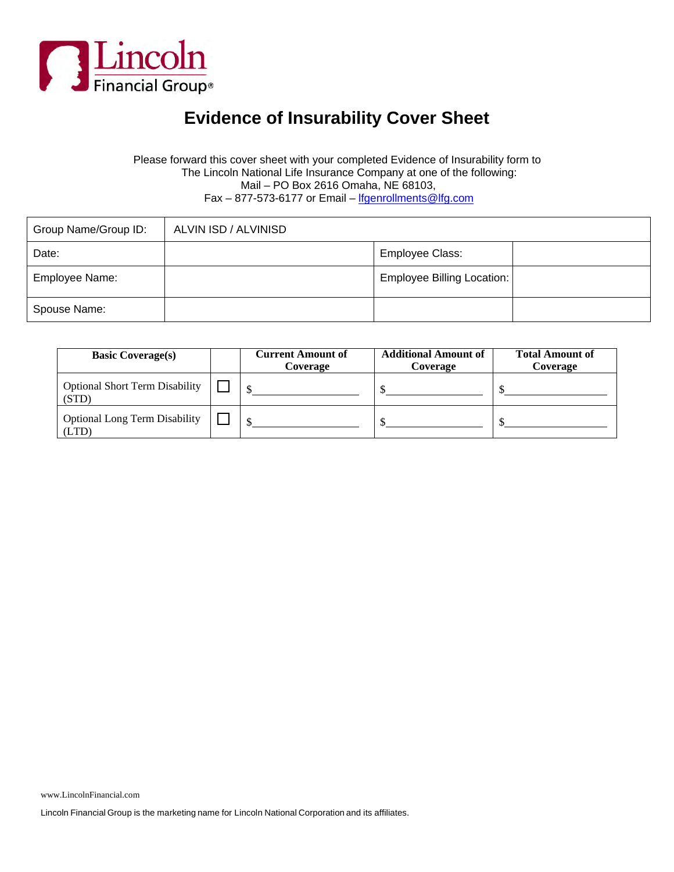

### **Evidence of Insurability Cover Sheet**

#### Please forward this cover sheet with your completed Evidence of Insurability form to The Lincoln National Life Insurance Company at one of the following: Mail – PO Box 2616 Omaha, NE 68103, Fax - 877-573-6177 or Email - lfgenrollments@lfg.com

| Group Name/Group ID: | ALVIN ISD / ALVINISD |                                   |  |
|----------------------|----------------------|-----------------------------------|--|
| Date:                |                      | Employee Class:                   |  |
| Employee Name:       |                      | <b>Employee Billing Location:</b> |  |
| Spouse Name:         |                      |                                   |  |

| <b>Basic Coverage(s)</b>                       | <b>Current Amount of</b><br>Coverage | <b>Additional Amount of</b><br>Coverage | <b>Total Amount of</b><br>Coverage |
|------------------------------------------------|--------------------------------------|-----------------------------------------|------------------------------------|
| <b>Optional Short Term Disability</b><br>(STD) |                                      |                                         |                                    |
| <b>Optional Long Term Disability</b><br>'LTD   |                                      |                                         |                                    |

Lincoln Financial Group is the marketing name for Lincoln National Corporation and its affiliates.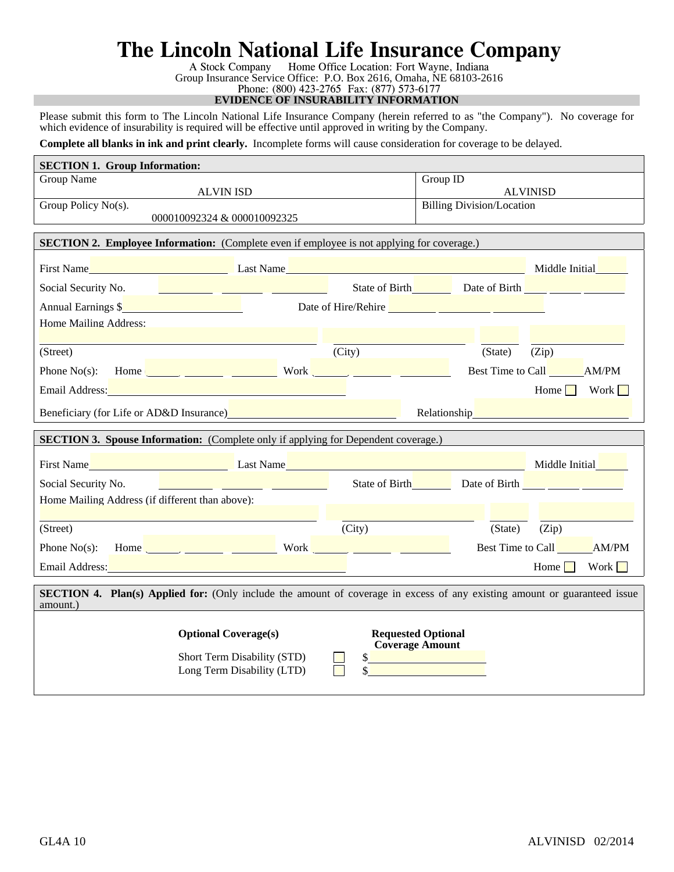## **The Lincoln National Life Insurance Company**

A Stock Company Home Office Location: Fort Wayne, Indiana Group Insurance Service Office: P.O. Box 2616, Omaha, NE 68103-2616 Phone: (800) 423-2765 Fax: (877) 573-6177

**EVIDENCE OF INSURABILITY INFORMATION**

Please submit this form to The Lincoln National Life Insurance Company (herein referred to as "the Company"). No coverage for which evidence of insurability is required will be effective until approved in writing by the Company.

**Complete all blanks in ink and print clearly.** Incomplete forms will cause consideration for coverage to be delayed.

| <b>SECTION 1. Group Information:</b>            |                                                                                                                                                                                                                                |                                                                                                                                                                                                                                      |                                  |                                                                                                                                                                                                                                        |
|-------------------------------------------------|--------------------------------------------------------------------------------------------------------------------------------------------------------------------------------------------------------------------------------|--------------------------------------------------------------------------------------------------------------------------------------------------------------------------------------------------------------------------------------|----------------------------------|----------------------------------------------------------------------------------------------------------------------------------------------------------------------------------------------------------------------------------------|
| Group Name                                      |                                                                                                                                                                                                                                | Group ID                                                                                                                                                                                                                             |                                  |                                                                                                                                                                                                                                        |
| Group Policy No(s).                             | <b>ALVIN ISD</b>                                                                                                                                                                                                               |                                                                                                                                                                                                                                      | <b>Billing Division/Location</b> | <b>ALVINISD</b>                                                                                                                                                                                                                        |
|                                                 | 000010092324 & 000010092325                                                                                                                                                                                                    |                                                                                                                                                                                                                                      |                                  |                                                                                                                                                                                                                                        |
|                                                 |                                                                                                                                                                                                                                |                                                                                                                                                                                                                                      |                                  |                                                                                                                                                                                                                                        |
|                                                 | <b>SECTION 2. Employee Information:</b> (Complete even if employee is not applying for coverage.)                                                                                                                              |                                                                                                                                                                                                                                      |                                  |                                                                                                                                                                                                                                        |
|                                                 |                                                                                                                                                                                                                                |                                                                                                                                                                                                                                      |                                  |                                                                                                                                                                                                                                        |
| Social Security No.                             | <u> 1999 - John Barn Barn, mars ar breis</u>                                                                                                                                                                                   |                                                                                                                                                                                                                                      |                                  | State of Birth Date of Birth <u>Property</u>                                                                                                                                                                                           |
| Annual Earnings \$                              |                                                                                                                                                                                                                                | Date of Hire/Rehire <u>2008 and 2008 and 2008 and 2008 and 2008 and 2008 and 2008 and 2008 and 2008 and 2008 and 2008 and 2008 and 2008 and 2008 and 2008 and 2008 and 2008 and 2008 and 2008 and 2008 and 2008 and 2008 and 200</u> |                                  |                                                                                                                                                                                                                                        |
| Home Mailing Address:                           |                                                                                                                                                                                                                                |                                                                                                                                                                                                                                      |                                  |                                                                                                                                                                                                                                        |
|                                                 |                                                                                                                                                                                                                                |                                                                                                                                                                                                                                      |                                  |                                                                                                                                                                                                                                        |
| (Street)                                        |                                                                                                                                                                                                                                | (City)                                                                                                                                                                                                                               | (State)                          | (Zip)                                                                                                                                                                                                                                  |
|                                                 | Phone No(s): Home $\frac{1}{\sqrt{1-\frac{1}{2}}}\sqrt{1-\frac{1}{2}}$ Work $\frac{1}{\sqrt{1-\frac{1}{2}}}\sqrt{1-\frac{1}{2}}$                                                                                               |                                                                                                                                                                                                                                      |                                  | Best Time to Call AM/PM                                                                                                                                                                                                                |
|                                                 | Email Address: No. 1996. The Contract of the Contract of the Contract of the Contract of the Contract of the Contract of the Contract of the Contract of the Contract of the Contract of the Contract of the Contract of the C |                                                                                                                                                                                                                                      |                                  | Home   Work                                                                                                                                                                                                                            |
|                                                 | Beneficiary (for Life or AD&D Insurance) <b>Source ALC ADA ACCESS</b>                                                                                                                                                          |                                                                                                                                                                                                                                      |                                  | Relationship<br><u>Letter and the set of the set of the set of the set of the set of the set of the set of the set of the set of the set of the set of the set of the set of the set of the set of the set of the set of the set o</u> |
|                                                 |                                                                                                                                                                                                                                |                                                                                                                                                                                                                                      |                                  |                                                                                                                                                                                                                                        |
|                                                 | <b>SECTION 3. Spouse Information:</b> (Complete only if applying for Dependent coverage.)                                                                                                                                      |                                                                                                                                                                                                                                      |                                  |                                                                                                                                                                                                                                        |
|                                                 |                                                                                                                                                                                                                                |                                                                                                                                                                                                                                      |                                  |                                                                                                                                                                                                                                        |
|                                                 | First Name Middle Initial Manual Last Name Last Name Middle 1 and 2008 and 2008 Middle Initial Middle Initial M                                                                                                                |                                                                                                                                                                                                                                      |                                  |                                                                                                                                                                                                                                        |
| Social Security No.                             |                                                                                                                                                                                                                                |                                                                                                                                                                                                                                      |                                  | State of Birth Date of Birth                                                                                                                                                                                                           |
| Home Mailing Address (if different than above): |                                                                                                                                                                                                                                |                                                                                                                                                                                                                                      |                                  |                                                                                                                                                                                                                                        |
| (Street)                                        |                                                                                                                                                                                                                                | (City)                                                                                                                                                                                                                               | (State)                          | (Zip)                                                                                                                                                                                                                                  |
|                                                 | Phone No(s): Home $\frac{1}{\sqrt{1-\frac{1}{2}} \cdot \frac{1}{\sqrt{1-\frac{1}{2}}} \cdot \frac{1}{\sqrt{1-\frac{1}{2}}} \cdot \frac{1}{\sqrt{1-\frac{1}{2}}} \cdot \frac{1}{\sqrt{1-\frac{1}{2}}}$                          |                                                                                                                                                                                                                                      |                                  | Best Time to Call AM/PM                                                                                                                                                                                                                |
|                                                 | Email Address: No. 1996. The Committee of the Committee of the Committee of the Committee of the Committee of the Committee of the Committee of the Committee of the Committee of the Committee of the Committee of the Commit |                                                                                                                                                                                                                                      |                                  | Work<br>Home                                                                                                                                                                                                                           |
| amount.)                                        | <b>SECTION 4. Plan(s) Applied for:</b> (Only include the amount of coverage in excess of any existing amount or guaranteed issue                                                                                               |                                                                                                                                                                                                                                      |                                  |                                                                                                                                                                                                                                        |
|                                                 |                                                                                                                                                                                                                                |                                                                                                                                                                                                                                      |                                  |                                                                                                                                                                                                                                        |
|                                                 | <b>Optional Coverage(s)</b>                                                                                                                                                                                                    | <b>Requested Optional</b><br><b>Coverage Amount</b>                                                                                                                                                                                  |                                  |                                                                                                                                                                                                                                        |
|                                                 | Short Term Disability (STD)<br>Long Term Disability (LTD)                                                                                                                                                                      | \$                                                                                                                                                                                                                                   |                                  |                                                                                                                                                                                                                                        |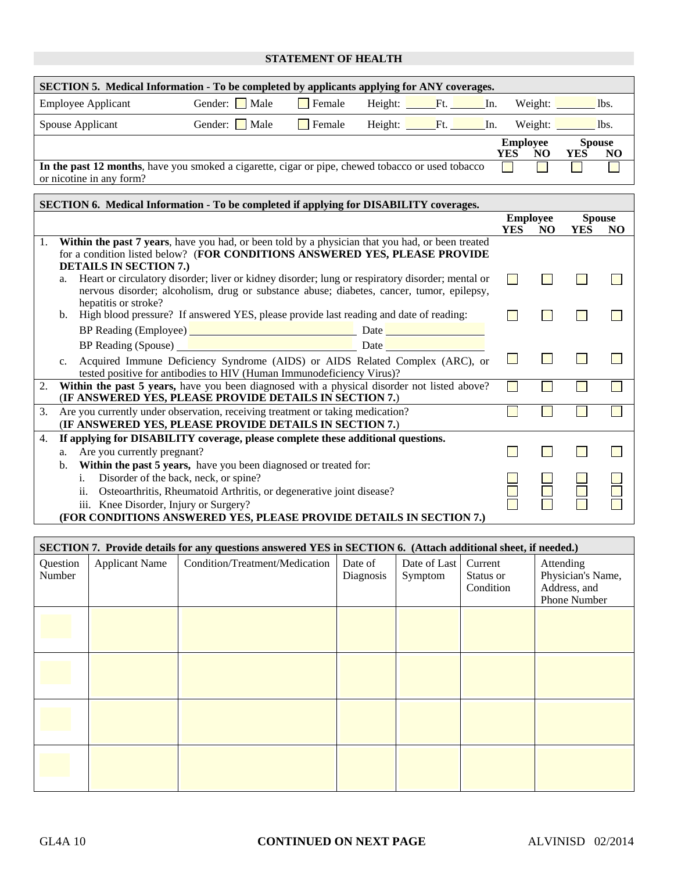#### **STATEMENT OF HEALTH**

| <b>SECTION 5.</b> Medical Information - To be completed by applicants applying for ANY coverages. |              |                       |                 |           |     |                 |                      |      |
|---------------------------------------------------------------------------------------------------|--------------|-----------------------|-----------------|-----------|-----|-----------------|----------------------|------|
| <b>Employee Applicant</b>                                                                         | Gender: Male | $\blacksquare$ Female | Height: Ft. In. |           |     | Weight:         |                      | lbs. |
| Spouse Applicant                                                                                  | Gender: Male | Female                | Height:         | $F_{t}$ . | In. | Weight:         |                      | lbs. |
|                                                                                                   |              |                       |                 |           | YES | <b>Employee</b> | <b>Spouse</b><br>YES | NO   |
|                                                                                                   |              |                       |                 |           |     | NO              |                      |      |
| In the past 12 months, have you smoked a cigarette, cigar or pipe, chewed tobacco or used tobacco |              |                       |                 |           |     |                 |                      |      |
| or nicotine in any form?                                                                          |              |                       |                 |           |     |                 |                      |      |

|    | <b>SECTION 6. Medical Information - To be completed if applying for DISABILITY coverages.</b>                                                                                                                                        |                        |    |                             |    |
|----|--------------------------------------------------------------------------------------------------------------------------------------------------------------------------------------------------------------------------------------|------------------------|----|-----------------------------|----|
|    |                                                                                                                                                                                                                                      | <b>Employee</b><br>YES | NO | <b>Spouse</b><br><b>YES</b> | NO |
| 1. | Within the past 7 years, have you had, or been told by a physician that you had, or been treated<br>for a condition listed below? (FOR CONDITIONS ANSWERED YES, PLEASE PROVIDE<br><b>DETAILS IN SECTION 7.)</b>                      |                        |    |                             |    |
|    | Heart or circulatory disorder; liver or kidney disorder; lung or respiratory disorder; mental or<br>a.<br>nervous disorder; alcoholism, drug or substance abuse; diabetes, cancer, tumor, epilepsy,<br>hepatitis or stroke?          |                        |    |                             |    |
|    | High blood pressure? If answered YES, please provide last reading and date of reading:<br>b.                                                                                                                                         |                        |    |                             |    |
|    | BP Reading (Employee) <u>and a series of the series of the series of the series of the series of the series of the series of the series of the series of the series of the series of the series of the series of the series of t</u> |                        |    |                             |    |
|    | BP Reading (Spouse) <b>Exercía de la contrada de la contrada de la contrada de la contrada de la contrada de la contrada de la contrada de la contrada de la contrada de la contrada de la contrada de la contrada de la contrad</b> |                        |    |                             |    |
|    | Acquired Immune Deficiency Syndrome (AIDS) or AIDS Related Complex (ARC), or<br>$C_{\bullet}$<br>tested positive for antibodies to HIV (Human Immunodeficiency Virus)?                                                               |                        |    |                             |    |
| 2. | Within the past 5 years, have you been diagnosed with a physical disorder not listed above?<br>(IF ANSWERED YES, PLEASE PROVIDE DETAILS IN SECTION 7.)                                                                               |                        |    |                             |    |
| 3. | Are you currently under observation, receiving treatment or taking medication?                                                                                                                                                       |                        |    |                             |    |
|    | (IF ANSWERED YES, PLEASE PROVIDE DETAILS IN SECTION 7.)                                                                                                                                                                              |                        |    |                             |    |
| 4. | If applying for DISABILITY coverage, please complete these additional questions.                                                                                                                                                     |                        |    |                             |    |
|    | Are you currently pregnant?<br>a.                                                                                                                                                                                                    |                        |    |                             |    |
|    | Within the past 5 years, have you been diagnosed or treated for:<br>$\mathbf{b}$ .                                                                                                                                                   |                        |    |                             |    |
|    | $\mathbf{i}$ .<br>Disorder of the back, neck, or spine?                                                                                                                                                                              |                        |    |                             |    |
|    | ii.<br>Osteoarthritis, Rheumatoid Arthritis, or degenerative joint disease?                                                                                                                                                          |                        |    |                             |    |
|    | iii. Knee Disorder, Injury or Surgery?                                                                                                                                                                                               |                        |    |                             |    |
|    | (FOR CONDITIONS ANSWERED YES, PLEASE PROVIDE DETAILS IN SECTION 7.)                                                                                                                                                                  |                        |    |                             |    |

|                    | SECTION 7. Provide details for any questions answered YES in SECTION 6. (Attach additional sheet, if needed.) |                                |                      |                         |                                   |                                                                |  |  |  |
|--------------------|---------------------------------------------------------------------------------------------------------------|--------------------------------|----------------------|-------------------------|-----------------------------------|----------------------------------------------------------------|--|--|--|
| Question<br>Number | <b>Applicant Name</b>                                                                                         | Condition/Treatment/Medication | Date of<br>Diagnosis | Date of Last<br>Symptom | Current<br>Status or<br>Condition | Attending<br>Physician's Name,<br>Address, and<br>Phone Number |  |  |  |
|                    |                                                                                                               |                                |                      |                         |                                   |                                                                |  |  |  |
|                    |                                                                                                               |                                |                      |                         |                                   |                                                                |  |  |  |
|                    |                                                                                                               |                                |                      |                         |                                   |                                                                |  |  |  |
|                    |                                                                                                               |                                |                      |                         |                                   |                                                                |  |  |  |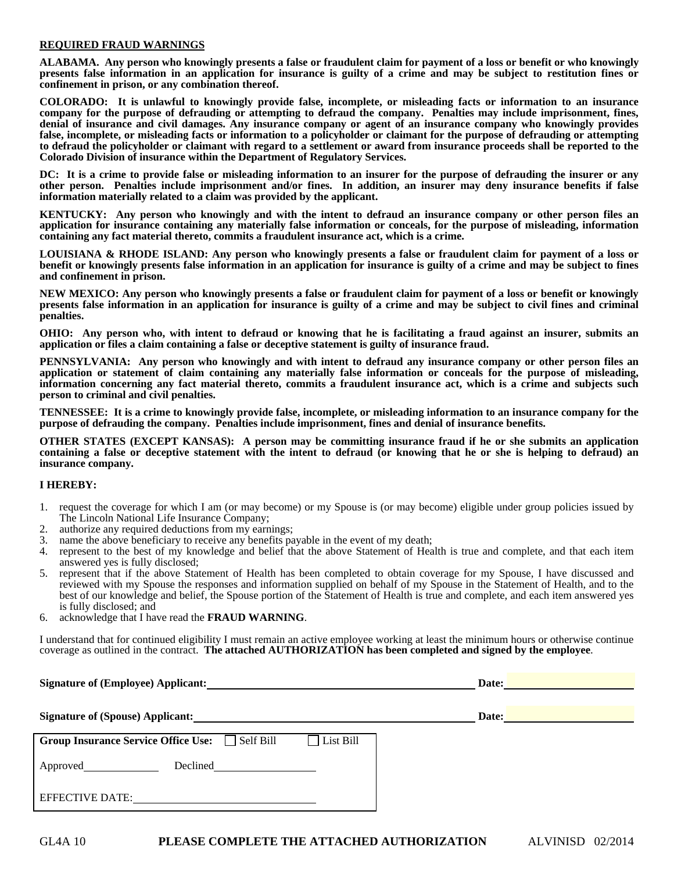#### **REQUIRED FRAUD WARNINGS**

**ALABAMA. Any person who knowingly presents a false or fraudulent claim for payment of a loss or benefit or who knowingly presents false information in an application for insurance is guilty of a crime and may be subject to restitution fines or confinement in prison, or any combination thereof.** 

**COLORADO: It is unlawful to knowingly provide false, incomplete, or misleading facts or information to an insurance company for the purpose of defrauding or attempting to defraud the company. Penalties may include imprisonment, fines, denial of insurance and civil damages. Any insurance company or agent of an insurance company who knowingly provides false, incomplete, or misleading facts or information to a policyholder or claimant for the purpose of defrauding or attempting to defraud the policyholder or claimant with regard to a settlement or award from insurance proceeds shall be reported to the Colorado Division of insurance within the Department of Regulatory Services.** 

**DC: It is a crime to provide false or misleading information to an insurer for the purpose of defrauding the insurer or any other person. Penalties include imprisonment and/or fines. In addition, an insurer may deny insurance benefits if false information materially related to a claim was provided by the applicant.** 

**KENTUCKY: Any person who knowingly and with the intent to defraud an insurance company or other person files an application for insurance containing any materially false information or conceals, for the purpose of misleading, information containing any fact material thereto, commits a fraudulent insurance act, which is a crime.** 

**LOUISIANA & RHODE ISLAND: Any person who knowingly presents a false or fraudulent claim for payment of a loss or benefit or knowingly presents false information in an application for insurance is guilty of a crime and may be subject to fines and confinement in prison.** 

**NEW MEXICO: Any person who knowingly presents a false or fraudulent claim for payment of a loss or benefit or knowingly presents false information in an application for insurance is guilty of a crime and may be subject to civil fines and criminal penalties.** 

**OHIO: Any person who, with intent to defraud or knowing that he is facilitating a fraud against an insurer, submits an application or files a claim containing a false or deceptive statement is guilty of insurance fraud.** 

**PENNSYLVANIA: Any person who knowingly and with intent to defraud any insurance company or other person files an application or statement of claim containing any materially false information or conceals for the purpose of misleading, information concerning any fact material thereto, commits a fraudulent insurance act, which is a crime and subjects such person to criminal and civil penalties.** 

**TENNESSEE: It is a crime to knowingly provide false, incomplete, or misleading information to an insurance company for the purpose of defrauding the company. Penalties include imprisonment, fines and denial of insurance benefits.** 

**OTHER STATES (EXCEPT KANSAS): A person may be committing insurance fraud if he or she submits an application containing a false or deceptive statement with the intent to defraud (or knowing that he or she is helping to defraud) an insurance company.** 

#### **I HEREBY:**

- 1. request the coverage for which I am (or may become) or my Spouse is (or may become) eligible under group policies issued by The Lincoln National Life Insurance Company;
- 2. authorize any required deductions from my earnings;
- 3. name the above beneficiary to receive any benefits payable in the event of my death;
- 4. represent to the best of my knowledge and belief that the above Statement of Health is true and complete, and that each item answered yes is fully disclosed;
- 5. represent that if the above Statement of Health has been completed to obtain coverage for my Spouse, I have discussed and reviewed with my Spouse the responses and information supplied on behalf of my Spouse in the Statement of Health, and to the best of our knowledge and belief, the Spouse portion of the Statement of Health is true and complete, and each item answered yes is fully disclosed; and
- 6. acknowledge that I have read the **FRAUD WARNING**.

I understand that for continued eligibility I must remain an active employee working at least the minimum hours or otherwise continue coverage as outlined in the contract. **The attached AUTHORIZATION has been completed and signed by the employee**.

| Signature of (Employee) Applicant:                                       | Date:<br><u> 1989 - Johann Stein, marwolaethau a bh</u> |
|--------------------------------------------------------------------------|---------------------------------------------------------|
| Signature of (Spouse) Applicant:                                         | Date:                                                   |
| $\Box$ List Bill<br><b>Group Insurance Service Office Use:</b> Self Bill |                                                         |
| Approved <u>same</u>                                                     |                                                         |
| <b>EFFECTIVE DATE:</b>                                                   |                                                         |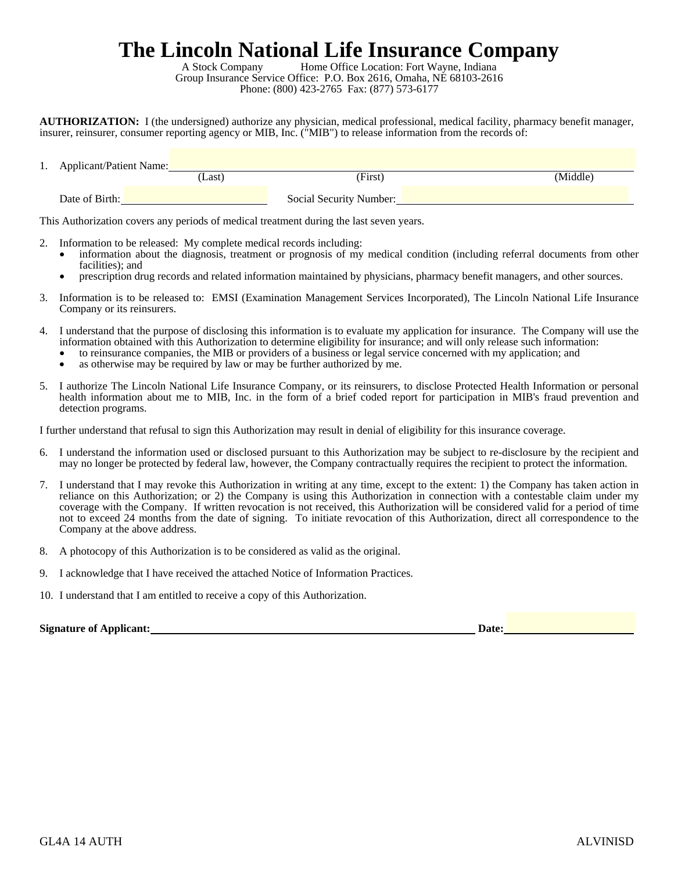# **The Lincoln National Life Insurance Company**<br>A Stock Company<br>Home Office Location: Fort Wayne, Indiana

Home Office Location: Fort Wayne, Indiana Group Insurance Service Office: P.O. Box 2616, Omaha, NE 68103-2616 Phone: (800) 423-2765 Fax: (877) 573-6177

**AUTHORIZATION:** I (the undersigned) authorize any physician, medical professional, medical facility, pharmacy benefit manager, insurer, reinsurer, consumer reporting agency or MIB, Inc. ("MIB") to release information from the records of:

| $\cdot$ | <b>Applicant/Patient Name:</b> |       |                         |          |
|---------|--------------------------------|-------|-------------------------|----------|
|         |                                | Last) | (First)                 | (Middle) |
|         | Date of Birth:                 |       | Social Security Number: |          |

This Authorization covers any periods of medical treatment during the last seven years.

- - Information to be released: My complete medical records including:<br>• information about the diagnosis, treatment or prognosis of my medical condition (including referral documents from other facilities); and
	- prescription drug records and related information maintained by physicians, pharmacy benefit managers, and other sources.
- 3. Information is to be released to: EMSI (Examination Management Services Incorporated), The Lincoln National Life Insurance Company or its reinsurers.
- 4. I understand that the purpose of disclosing this information is to evaluate my application for insurance. The Company will use the information obtained with this Authorization to determine eligibility for insurance; and will only release such information:<br>• to reinsurance companies, the MIB or providers of a business or legal service concerned with my
	-
	- as otherwise may be required by law or may be further authorized by me.
- 5. I authorize The Lincoln National Life Insurance Company, or its reinsurers, to disclose Protected Health Information or personal health information about me to MIB, Inc. in the form of a brief coded report for participation in MIB's fraud prevention and detection programs.

I further understand that refusal to sign this Authorization may result in denial of eligibility for this insurance coverage.

- 6. I understand the information used or disclosed pursuant to this Authorization may be subject to re-disclosure by the recipient and may no longer be protected by federal law, however, the Company contractually requires the recipient to protect the information.
- 7. I understand that I may revoke this Authorization in writing at any time, except to the extent: 1) the Company has taken action in reliance on this Authorization; or 2) the Company is using this Authorization in connection with a contestable claim under my coverage with the Company. If written revocation is not received, this Authorization will be considered valid for a period of time not to exceed 24 months from the date of signing. To initiate revocation of this Authorization, direct all correspondence to the Company at the above address.
- 8. A photocopy of this Authorization is to be considered as valid as the original.
- 9. I acknowledge that I have received the attached Notice of Information Practices.
- 10. I understand that I am entitled to receive a copy of this Authorization.

| <b>Signature of Applicant:</b> | <b>Date:</b> |
|--------------------------------|--------------|
|                                |              |